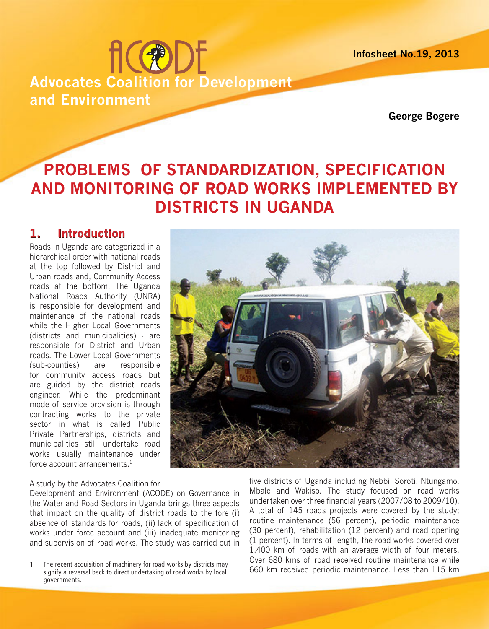**Infosheet No.19, 2013**

# **fic®DE Advocates Coalition for Development and Environment**

**George Bogere**

# **PROBLEMS OF STANDARDIZATION, SPECIFICATION AND MONITORING OF ROAD WORKS IMPLEMENTED BY DISTRICTS IN UGANDA**

# **1. Introduction**

Roads in Uganda are categorized in a hierarchical order with national roads at the top followed by District and Urban roads and, Community Access roads at the bottom. The Uganda National Roads Authority (UNRA) is responsible for development and maintenance of the national roads while the Higher Local Governments (districts and municipalities) - are responsible for District and Urban roads. The Lower Local Governments (sub-counties) are responsible for community access roads but are guided by the district roads engineer. While the predominant mode of service provision is through contracting works to the private sector in what is called Public Private Partnerships, districts and municipalities still undertake road works usually maintenance under force account arrangements.<sup>1</sup>

#### A study by the Advocates Coalition for

Development and Environment (ACODE) on Governance in the Water and Road Sectors in Uganda brings three aspects that impact on the quality of district roads to the fore (i) absence of standards for roads, (ii) lack of specification of works under force account and (iii) inadequate monitoring and supervision of road works. The study was carried out in

five districts of Uganda including Nebbi, Soroti, Ntungamo, Mbale and Wakiso. The study focused on road works undertaken over three financial years (2007/08 to 2009/10). A total of 145 roads projects were covered by the study; routine maintenance (56 percent), periodic maintenance (30 percent), rehabilitation (12 percent) and road opening (1 percent). In terms of length, the road works covered over 1,400 km of roads with an average width of four meters. Over 680 kms of road received routine maintenance while 660 km received periodic maintenance. Less than 115 km

The recent acquisition of machinery for road works by districts may signify a reversal back to direct undertaking of road works by local governments.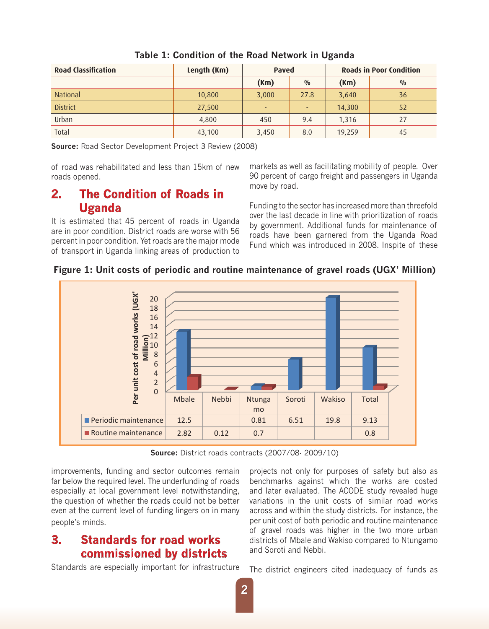| <b>Road Classification</b> | Length (Km) | Paved |                          | <b>Roads in Poor Condition</b> |               |
|----------------------------|-------------|-------|--------------------------|--------------------------------|---------------|
|                            |             | (Km)  | $\frac{0}{0}$            | (Km)                           | $\frac{0}{0}$ |
| <b>National</b>            | 10,800      | 3,000 | 27.8                     | 3,640                          | 36            |
| <b>District</b>            | 27,500      | ٠     | $\overline{\phantom{0}}$ | 14,300                         | 52            |
| Urban                      | 4,800       | 450   | 9.4                      | 1,316                          | 27            |
| Total                      | 43,100      | 3,450 | 8.0                      | 19,259                         | 45            |

#### **Table 1: Condition of the Road Network in Uganda**

**Source:** Road Sector Development Project 3 Review (2008)

of road was rehabilitated and less than 15km of new roads opened.

### **2. The Condition of Roads in Uganda**

It is estimated that 45 percent of roads in Uganda are in poor condition. District roads are worse with 56 percent in poor condition. Yet roads are the major mode of transport in Uganda linking areas of production to

markets as well as facilitating mobility of people. Over 90 percent of cargo freight and passengers in Uganda move by road.

Funding to the sector has increased more than threefold over the last decade in line with prioritization of roads by government. Additional funds for maintenance of roads have been garnered from the Uganda Road Fund which was introduced in 2008. Inspite of these

#### **Figure 1: Unit costs of periodic and routine maintenance of gravel roads (UGX' Million)**



**Source:** District roads contracts (2007/08- 2009/10)

improvements, funding and sector outcomes remain far below the required level. The underfunding of roads especially at local government level notwithstanding, the question of whether the roads could not be better even at the current level of funding lingers on in many people's minds.

## **3. Standards for road works commissioned by districts**

Standards are especially important for infrastructure

projects not only for purposes of safety but also as benchmarks against which the works are costed and later evaluated. The ACODE study revealed huge variations in the unit costs of similar road works across and within the study districts. For instance, the per unit cost of both periodic and routine maintenance of gravel roads was higher in the two more urban districts of Mbale and Wakiso compared to Ntungamo and Soroti and Nebbi.

The district engineers cited inadequacy of funds as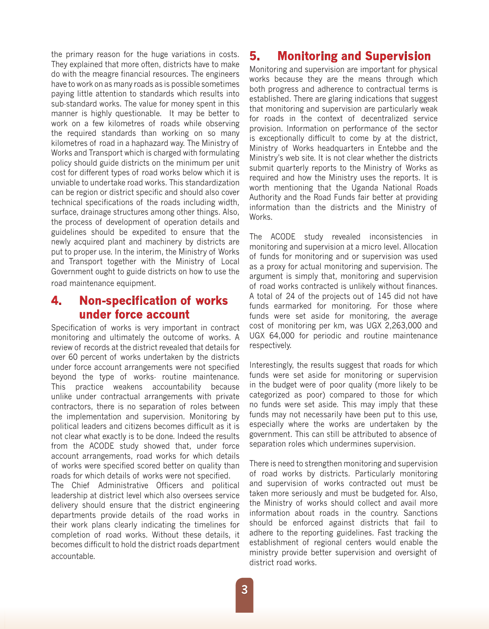the primary reason for the huge variations in costs. They explained that more often, districts have to make do with the meagre financial resources. The engineers have to work on as many roads as is possible sometimes paying little attention to standards which results into sub-standard works. The value for money spent in this manner is highly questionable. It may be better to work on a few kilometres of roads while observing the required standards than working on so many kilometres of road in a haphazard way. The Ministry of Works and Transport which is charged with formulating policy should guide districts on the minimum per unit cost for different types of road works below which it is unviable to undertake road works. This standardization can be region or district specific and should also cover technical specifications of the roads including width, surface, drainage structures among other things. Also, the process of development of operation details and guidelines should be expedited to ensure that the newly acquired plant and machinery by districts are put to proper use. In the interim, the Ministry of Works and Transport together with the Ministry of Local Government ought to guide districts on how to use the road maintenance equipment.

## **4. Non-specification of works under force account**

Specification of works is very important in contract monitoring and ultimately the outcome of works. A review of records at the district revealed that details for over 60 percent of works undertaken by the districts under force account arrangements were not specified beyond the type of works- routine maintenance. This practice weakens accountability because unlike under contractual arrangements with private contractors, there is no separation of roles between the implementation and supervision. Monitoring by political leaders and citizens becomes difficult as it is not clear what exactly is to be done. Indeed the results from the ACODE study showed that, under force account arrangements, road works for which details of works were specified scored better on quality than roads for which details of works were not specified.

The Chief Administrative Officers and political leadership at district level which also oversees service delivery should ensure that the district engineering departments provide details of the road works in their work plans clearly indicating the timelines for completion of road works. Without these details, it becomes difficult to hold the district roads department accountable.

# **5. Monitoring and Supervision**

Monitoring and supervision are important for physical works because they are the means through which both progress and adherence to contractual terms is established. There are glaring indications that suggest that monitoring and supervision are particularly weak for roads in the context of decentralized service provision. Information on performance of the sector is exceptionally difficult to come by at the district, Ministry of Works headquarters in Entebbe and the Ministry's web site. It is not clear whether the districts submit quarterly reports to the Ministry of Works as required and how the Ministry uses the reports. It is worth mentioning that the Uganda National Roads Authority and the Road Funds fair better at providing information than the districts and the Ministry of Works.

The ACODE study revealed inconsistencies in monitoring and supervision at a micro level. Allocation of funds for monitoring and or supervision was used as a proxy for actual monitoring and supervision. The argument is simply that, monitoring and supervision of road works contracted is unlikely without finances. A total of 24 of the projects out of 145 did not have funds earmarked for monitoring. For those where funds were set aside for monitoring, the average cost of monitoring per km, was UGX 2,263,000 and UGX 64,000 for periodic and routine maintenance respectively.

Interestingly, the results suggest that roads for which funds were set aside for monitoring or supervision in the budget were of poor quality (more likely to be categorized as poor) compared to those for which no funds were set aside. This may imply that these funds may not necessarily have been put to this use, especially where the works are undertaken by the government. This can still be attributed to absence of separation roles which undermines supervision.

There is need to strengthen monitoring and supervision of road works by districts. Particularly monitoring and supervision of works contracted out must be taken more seriously and must be budgeted for. Also, the Ministry of works should collect and avail more information about roads in the country. Sanctions should be enforced against districts that fail to adhere to the reporting guidelines. Fast tracking the establishment of regional centers would enable the ministry provide better supervision and oversight of district road works.